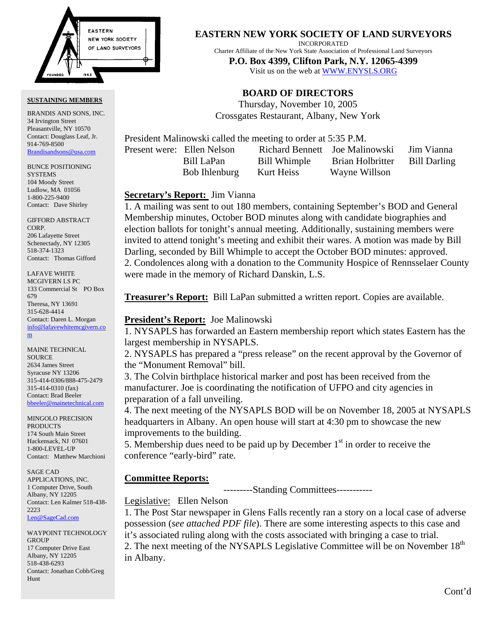

#### **SUSTAINING MEMBERS**

BRANDIS AND SONS, INC. 34 Irvington Street Pleasantville, NY 10570 Contact: Douglass Leaf, Jr. 914-769-8500 [Brandisandsons@usa.com](mailto:brandisandsons@usa.com)

BUNCE POSITIONING SYSTEMS 104 Moody Street Ludlow, MA 01056 1-800-225-9400 Contact: Dave Shirley

GIFFORD ABSTRACT CORP. 206 Lafayette Street Schenectady, NY 12305 518-374-1323 Contact: Thomas Gifford

LAFAVE WHITE MCGIVERN LS PC 133 Commercial St PO Box 679 Theresa, NY 13691 315-628-4414 Contact: Daren L. Morgan [info@lafavewhitemcgivern.co](mailto:info@lafavewhitemcgivern.com) m

MAINE TECHNICAL SOURCE 2634 James Street Syracuse NY 13206 315-414-0306/888-475-2479 315-414-0310 (fax) Contact: Brad Beeler [bbeeler@mainetechnical.com](mailto:bbeeler@mainetechnical.com)

MINGOLO PRECISION **PRODUCTS** 174 South Main Street Hackensack, NJ 07601 1-800-LEVEL-UP Contact: Matthew Marchioni

SAGE CAD APPLICATIONS, INC. 1 Computer Drive, South Albany, NY 12205 Contact: Len Kalmer 518-438- 2223 [Len@SageCad.com](mailto:len@sagecad.com)

WAYPOINT TECHNOLOGY **GROUP** 17 Computer Drive East Albany, NY 12205 518-438-6293 Contact: Jonathan Cobb/Greg Hunt

**EASTERN NEW YORK SOCIETY OF LAND SURVEYORS**

INCORPORATED

Charter Affiliate of the New York State Association of Professional Land Surveyors

**P.O. Box 4399, Clifton Park, N.Y. 12065-4399**  Visit us on the web a[t WWW.ENYSLS.ORG](www.enysls.org)

# **BOARD OF DIRECTORS**

Thursday, November 10, 2005 Crossgates Restaurant, Albany, New York

President Malinowski called the meeting to order at 5:35 P.M.

Present were: Ellen Nelson Richard Bennett Joe Malinowski Jim Vianna

 Bill LaPan Bill Whimple Brian Holbritter Bill Darling Bob Ihlenburg Kurt Heiss Wayne Willson

## **Secretary's Report:** Jim Vianna

1. A mailing was sent to out 180 members, containing September's BOD and General Membership minutes, October BOD minutes along with candidate biographies and election ballots for tonight's annual meeting. Additionally, sustaining members were invited to attend tonight's meeting and exhibit their wares. A motion was made by Bill Darling, seconded by Bill Whimple to accept the October BOD minutes: approved. 2. Condolences along with a donation to the Community Hospice of Rennsselaer County were made in the memory of Richard Danskin, L.S.

**Treasurer's Report:** Bill LaPan submitted a written report. Copies are available.

## **President's Report:** Joe Malinowski

1. NYSAPLS has forwarded an Eastern membership report which states Eastern has the largest membership in NYSAPLS.

2. NYSAPLS has prepared a "press release" on the recent approval by the Governor of the "Monument Removal" bill.

3. The Colvin birthplace historical marker and post has been received from the manufacturer. Joe is coordinating the notification of UFPO and city agencies in preparation of a fall unveiling.

4. The next meeting of the NYSAPLS BOD will be on November 18, 2005 at NYSAPLS headquarters in Albany. An open house will start at 4:30 pm to showcase the new improvements to the building.

5. Membership dues need to be paid up by December  $1<sup>st</sup>$  in order to receive the conference "early-bird" rate.

# **Committee Reports:**

---------Standing Committees-----------

# Legislative: Ellen Nelson

1. The Post Star newspaper in Glens Falls recently ran a story on a local case of adverse possession (*see attached PDF file*). There are some interesting aspects to this case and it's associated ruling along with the costs associated with bringing a case to trial. 2. The next meeting of the NYSAPLS Legislative Committee will be on November  $18<sup>th</sup>$ in Albany.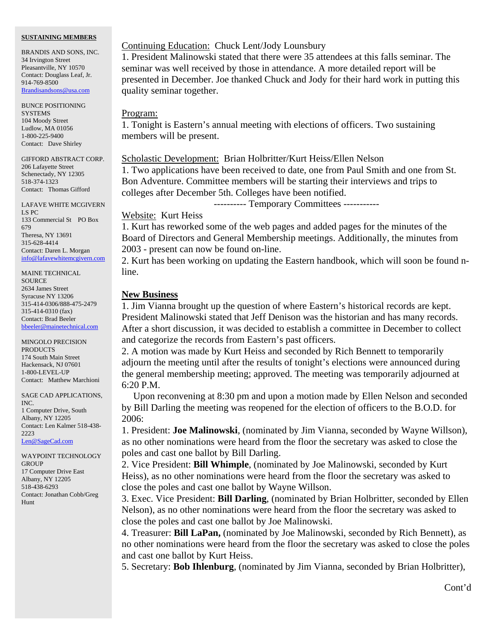### **SUSTAINING MEMBERS**

BRANDIS AND SONS, INC. 34 Irvington Street Pleasantville, NY 10570 Contact: Douglass Leaf, Jr. 914-769-8500 [Brandisandsons@usa.com](mailto:brandisandsons@usa.com)

BUNCE POSITIONING **SYSTEMS** 104 Moody Street Ludlow, MA 01056 1-800-225-9400 Contact: Dave Shirley

GIFFORD ABSTRACT CORP. 206 Lafayette Street Schenectady, NY 12305 518-374-1323 Contact: Thomas Gifford

LAFAVE WHITE MCGIVERN LS PC 133 Commercial St PO Box 679 Theresa, NY 13691 315-628-4414 Contact: Daren L. Morgan [info@lafavewhitemcgivern.com](mailto:info@lafavewhitemcgivern.com)

MAINE TECHNICAL **SOURCE** 2634 James Street Syracuse NY 13206 315-414-0306/888-475-2479 315-414-0310 (fax) Contact: Brad Beeler [bbeeler@mainetechnical.com](mailto:bbeeler@mainetechnical.com)

MINGOLO PRECISION PRODUCTS 174 South Main Street Hackensack, NJ 07601 1-800-LEVEL-UP Contact: Matthew Marchioni

SAGE CAD APPLICATIONS, INC. 1 Computer Drive, South Albany, NY 12205 Contact: Len Kalmer 518-438- 2223 [Len@SageCad.com](mailto:len@sagecad.com)

WAYPOINT TECHNOLOGY **GROUP** 17 Computer Drive East Albany, NY 12205 518-438-6293 Contact: Jonathan Cobb/Greg Hunt

### Continuing Education: Chuck Lent/Jody Lounsbury

1. President Malinowski stated that there were 35 attendees at this falls seminar. The seminar was well received by those in attendance. A more detailed report will be presented in December. Joe thanked Chuck and Jody for their hard work in putting this quality seminar together.

### Program:

1. Tonight is Eastern's annual meeting with elections of officers. Two sustaining members will be present.

## Scholastic Development: Brian Holbritter/Kurt Heiss/Ellen Nelson

1. Two applications have been received to date, one from Paul Smith and one from St. Bon Adventure. Committee members will be starting their interviews and trips to colleges after December 5th. Colleges have been notified.

---------- Temporary Committees -----------

## Website: Kurt Heiss

1. Kurt has reworked some of the web pages and added pages for the minutes of the Board of Directors and General Membership meetings. Additionally, the minutes from 2003 - present can now be found on-line.

2. Kurt has been working on updating the Eastern handbook, which will soon be found nline.

### **New Business**

1. Jim Vianna brought up the question of where Eastern's historical records are kept. President Malinowski stated that Jeff Denison was the historian and has many records. After a short discussion, it was decided to establish a committee in December to collect and categorize the records from Eastern's past officers.

2. A motion was made by Kurt Heiss and seconded by Rich Bennett to temporarily adjourn the meeting until after the results of tonight's elections were announced during the general membership meeting; approved. The meeting was temporarily adjourned at 6:20 P.M.

 Upon reconvening at 8:30 pm and upon a motion made by Ellen Nelson and seconded by Bill Darling the meeting was reopened for the election of officers to the B.O.D. for 2006:

1. President: **Joe Malinowski**, (nominated by Jim Vianna, seconded by Wayne Willson), as no other nominations were heard from the floor the secretary was asked to close the poles and cast one ballot by Bill Darling.

2. Vice President: **Bill Whimple**, (nominated by Joe Malinowski, seconded by Kurt Heiss), as no other nominations were heard from the floor the secretary was asked to close the poles and cast one ballot by Wayne Willson.

3. Exec. Vice President: **Bill Darling**, (nominated by Brian Holbritter, seconded by Ellen Nelson), as no other nominations were heard from the floor the secretary was asked to close the poles and cast one ballot by Joe Malinowski.

4. Treasurer: **Bill LaPan,** (nominated by Joe Malinowski, seconded by Rich Bennett), as no other nominations were heard from the floor the secretary was asked to close the poles and cast one ballot by Kurt Heiss.

5. Secretary: **Bob Ihlenburg**, (nominated by Jim Vianna, seconded by Brian Holbritter),